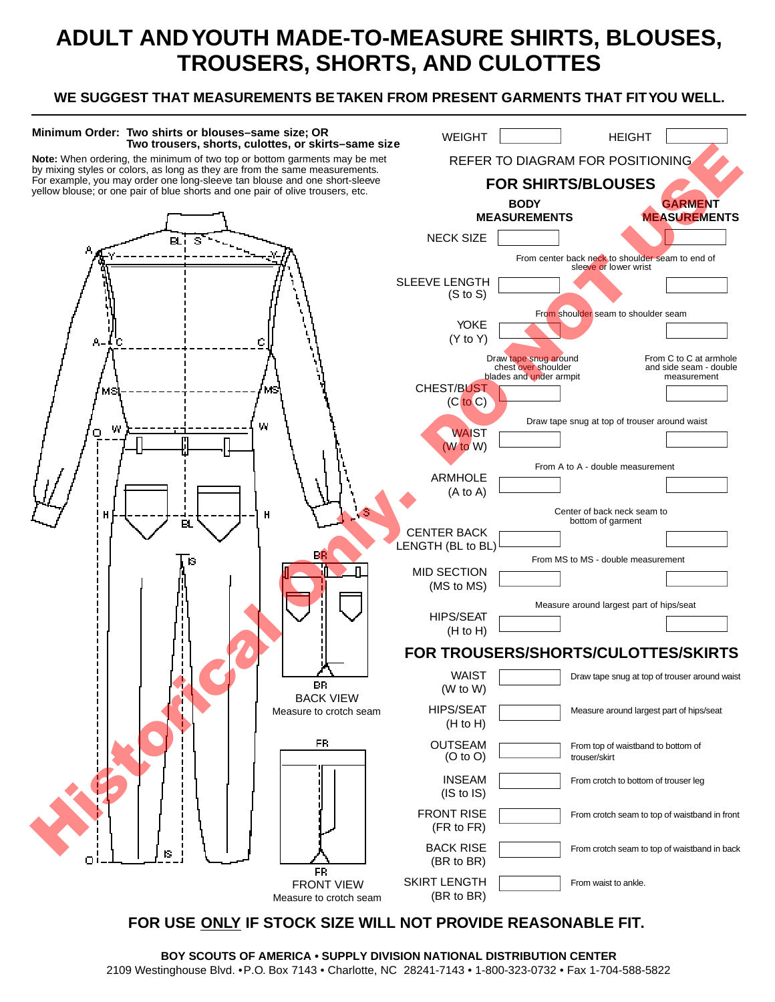## **ADULT AND YOUTH MADE-TO-MEASURE SHIRTS, BLOUSES, TROUSERS, SHORTS, AND CULOTTES**

## **WE SUGGEST THAT MEASUREMENTS BE TAKEN FROM PRESENT GARMENTS THAT FIT YOU WELL.**



**BOY SCOUTS OF AMERICA • SUPPLY DIVISION NATIONAL DISTRIBUTION CENTER** 2109 Westinghouse Blvd. • P.O. Box 7143 • Charlotte, NC 28241-7143 • 1-800-323-0732 • Fax 1-704-588-5822